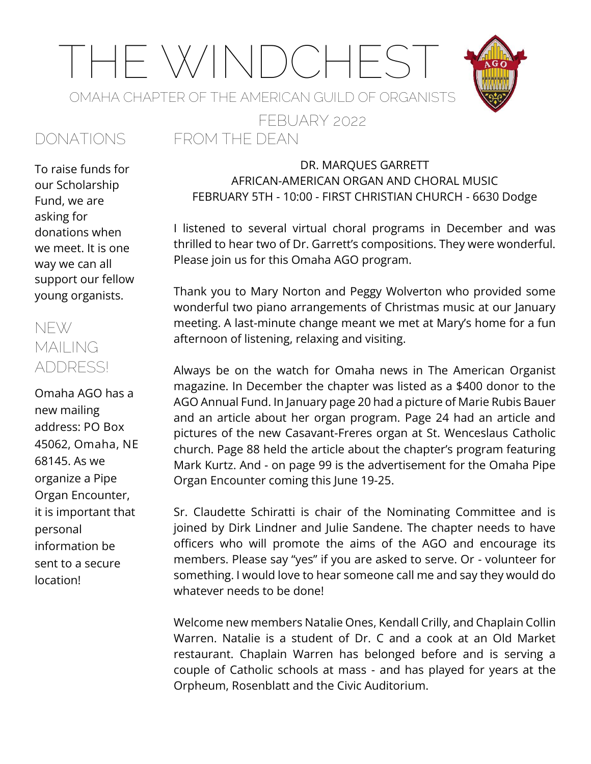# THE WINDCHEST OMAHA CHAPTER OF THE AMERICAN GUILD OF ORGANISTS

FROM THE DEAN

FEBUARY 2022



To raise funds for our Scholarship Fund, we are asking for donations when we meet. It is one way we can all support our fellow young organists.

#### NEW MAII ING ADDRESS!

Omaha AGO has a new mailing address: **PO Box 45062, Omaha, NE 68145**. As we organize a Pipe Organ Encounter, it is important that personal information be sent to a secure location!

#### DR. MARQUES GARRETT AFRICAN-AMERICAN ORGAN AND CHORAL MUSIC FEBRUARY 5TH - 10:00 - FIRST CHRISTIAN CHURCH - 6630 Dodge

I listened to several virtual choral programs in December and was thrilled to hear two of Dr. Garrett's compositions. They were wonderful. Please join us for this Omaha AGO program.

Thank you to Mary Norton and Peggy Wolverton who provided some wonderful two piano arrangements of Christmas music at our January meeting. A last-minute change meant we met at Mary's home for a fun afternoon of listening, relaxing and visiting.

Always be on the watch for Omaha news in The American Organist magazine. In December the chapter was listed as a \$400 donor to the AGO Annual Fund. In January page 20 had a picture of Marie Rubis Bauer and an article about her organ program. Page 24 had an article and pictures of the new Casavant-Freres organ at St. Wenceslaus Catholic church. Page 88 held the article about the chapter's program featuring Mark Kurtz. And - on page 99 is the advertisement for the Omaha Pipe Organ Encounter coming this June 19-25.

Sr. Claudette Schiratti is chair of the Nominating Committee and is joined by Dirk Lindner and Julie Sandene. The chapter needs to have officers who will promote the aims of the AGO and encourage its members. Please say "yes" if you are asked to serve. Or - volunteer for something. I would love to hear someone call me and say they would do whatever needs to be done!

Welcome new members Natalie Ones, Kendall Crilly, and Chaplain Collin Warren. Natalie is a student of Dr. C and a cook at an Old Market restaurant. Chaplain Warren has belonged before and is serving a couple of Catholic schools at mass - and has played for years at the Orpheum, Rosenblatt and the Civic Auditorium.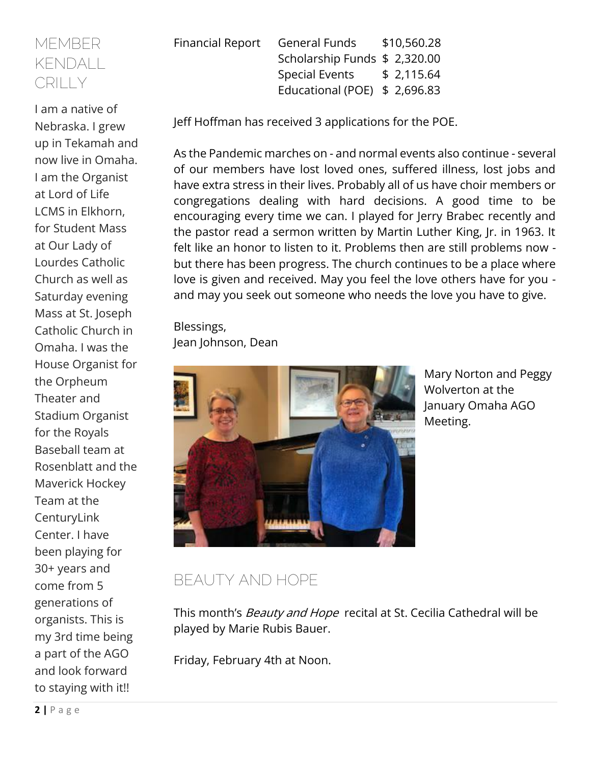#### MEMBER KENDALL CRILLY

I am a native of Nebraska. I grew up in Tekamah and now live in Omaha. I am the Organist at Lord of Life LCMS in Elkhorn, for Student Mass at Our Lady of Lourdes Catholic Church as well as Saturday evening Mass at St. Joseph Catholic Church in Omaha. I was the House Organist for the Orpheum Theater and Stadium Organist for the Royals Baseball team at Rosenblatt and the Maverick Hockey Team at the **CenturyLink** Center. I have been playing for 30+ years and come from 5 generations of organists. This is my 3rd time being a part of the AGO and look forward to staying with it!!

Financial Report General Funds \$10,560.28 Scholarship Funds \$ 2,320.00 Special Events \$ 2,115.64 Educational (POE) \$ 2,696.83

Jeff Hoffman has received 3 applications for the POE.

As the Pandemic marches on - and normal events also continue - several of our members have lost loved ones, suffered illness, lost jobs and have extra stress in their lives. Probably all of us have choir members or congregations dealing with hard decisions. A good time to be encouraging every time we can. I played for Jerry Brabec recently and the pastor read a sermon written by Martin Luther King, Jr. in 1963. It felt like an honor to listen to it. Problems then are still problems now but there has been progress. The church continues to be a place where love is given and received. May you feel the love others have for you and may you seek out someone who needs the love you have to give.

Blessings, Jean Johnson, Dean



Mary Norton and Peggy Wolverton at the January Omaha AGO Meeting.

# BEAUTY AND HOPE

This month's *Beauty and Hope* recital at St. Cecilia Cathedral will be played by Marie Rubis Bauer.

Friday, February 4th at Noon.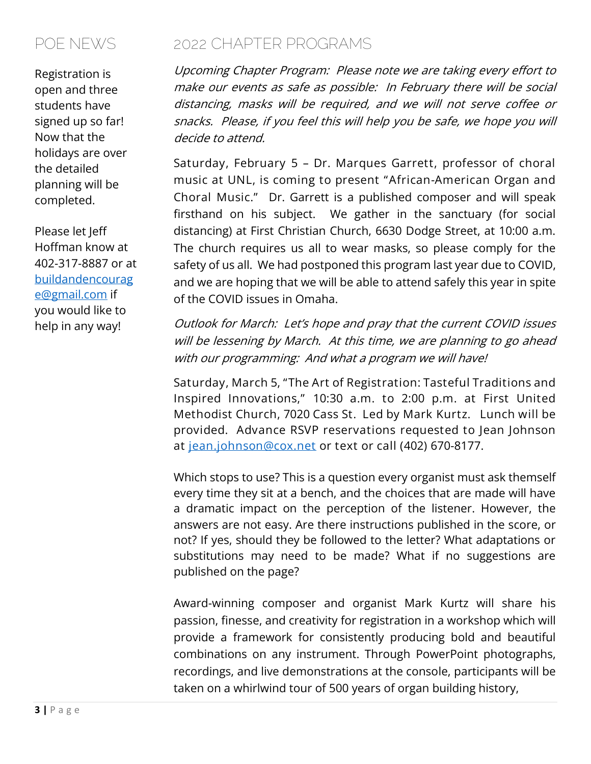# POE NEWS

Registration is open and three students have signed up so far! Now that the holidays are over the detailed planning will be completed.

Please let Jeff Hoffman know at 402-317-8887 or at [buildandencourag](mailto:buildandencourage@gmail.com) [e@gmail.com](mailto:buildandencourage@gmail.com) if you would like to help in any way!

## 2022 CHAPTER PROGRAMS

Upcoming Chapter Program: Please note we are taking every effort to make our events as safe as possible: In February there will be social distancing, masks will be required, and we will not serve coffee or snacks. Please, if you feel this will help you be safe, we hope you will decide to attend.

**Saturday, February 5 – Dr. Marques Garrett, professor of choral music at UNL, is coming to present "African-American Organ and Choral Music."** Dr. Garrett is a published composer and will speak firsthand on his subject. We gather in the sanctuary (for social distancing) at First Christian Church, 6630 Dodge Street, at 10:00 a.m. The church requires us all to wear masks, so please comply for the safety of us all. We had postponed this program last year due to COVID, and we are hoping that we will be able to attend safely this year in spite of the COVID issues in Omaha.

Outlook for March: Let's hope and pray that the current COVID issues will be lessening by March. At this time, we are planning to go ahead with our programming: And what a program we will have!

**Saturday, March 5, "The Art of Registration: Tasteful Traditions and Inspired Innovations," 10:30 a.m. to 2:00 p.m. at First United Methodist Church, 7020 Cass St. Led by Mark Kurtz. Lunch will be provided. Advance RSVP reservations requested to Jean Johnson at [jean.johnson@cox.net](mailto:jean.johnson@cox.net) or text or call (402) 670-8177.**

Which stops to use? This is a question every organist must ask themself every time they sit at a bench, and the choices that are made will have a dramatic impact on the perception of the listener. However, the answers are not easy. Are there instructions published in the score, or not? If yes, should they be followed to the letter? What adaptations or substitutions may need to be made? What if no suggestions are published on the page?

Award-winning composer and organist Mark Kurtz will share his passion, finesse, and creativity for registration in a workshop which will provide a framework for consistently producing bold and beautiful combinations on any instrument. Through PowerPoint photographs, recordings, and live demonstrations at the console, participants will be taken on a whirlwind tour of 500 years of organ building history,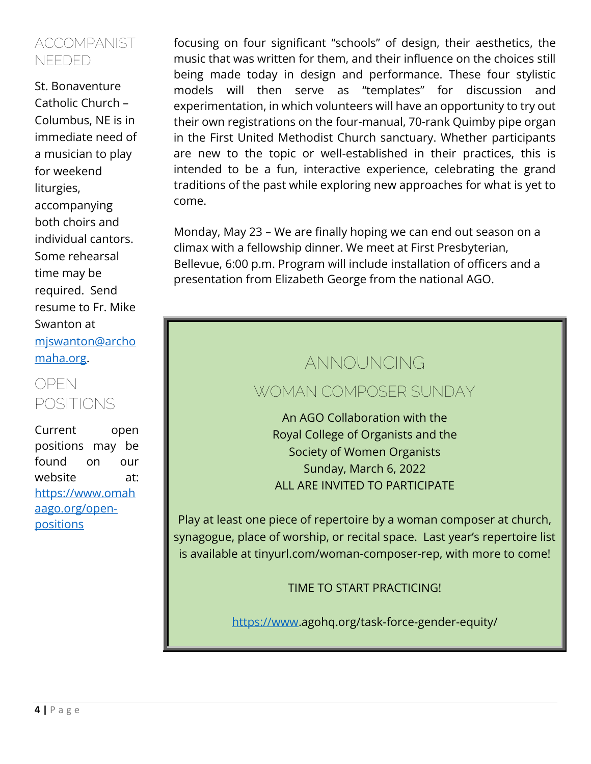#### ACCOMPANIST NEEDED

St. Bonaventure Catholic Church – Columbus, NE is in immediate need of a musician to play for weekend liturgies, accompanying both choirs and individual cantors. Some rehearsal time may be required. Send resume to Fr. Mike Swanton at [mjswanton@archo](mailto:mjswanton@archomaha.org) [maha.org.](mailto:mjswanton@archomaha.org)

### OPEN POSITIONS

Current open positions may be found on our website at: [https://www.omah](https://www.omahaago.org/open-positions) [aago.org/open](https://www.omahaago.org/open-positions)**[positions](https://www.omahaago.org/open-positions)** 

focusing on four significant "schools" of design, their aesthetics, the music that was written for them, and their influence on the choices still being made today in design and performance. These four stylistic models will then serve as "templates" for discussion and experimentation, in which volunteers will have an opportunity to try out their own registrations on the four-manual, 70-rank Quimby pipe organ in the First United Methodist Church sanctuary. Whether participants are new to the topic or well-established in their practices, this is intended to be a fun, interactive experience, celebrating the grand traditions of the past while exploring new approaches for what is yet to come.

Monday, May 23 – We are finally hoping we can end out season on a climax with a fellowship dinner. We meet at First Presbyterian, Bellevue, 6:00 p.m. Program will include installation of officers and a presentation from Elizabeth George from the national AGO.

# **ANNOUNCING**

#### WOMAN COMPOSER SUNDAY

An AGO Collaboration with the Royal College of Organists and the Society of Women Organists Sunday, March 6, 2022 ALL ARE INVITED TO PARTICIPATE

Play at least one piece of repertoire by a woman composer at church, synagogue, place of worship, or recital space. Last year's repertoire list is available at tinyurl.com/woman-composer-rep, with more to come!

TIME TO START PRACTICING!

[https://www.](https://www/)agohq.org/task-force-gender-equity/